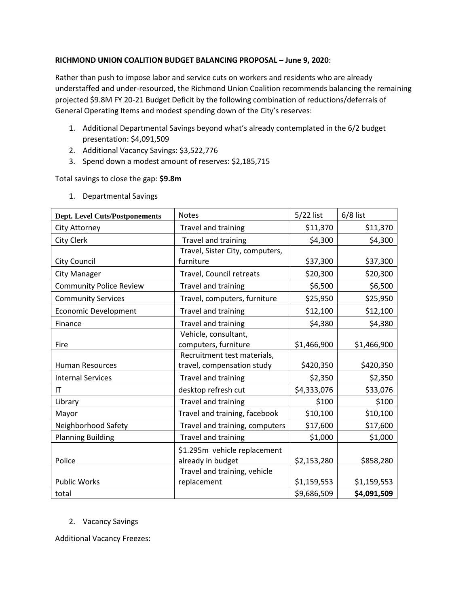## **RICHMOND UNION COALITION BUDGET BALANCING PROPOSAL – June 9, 2020**:

Rather than push to impose labor and service cuts on workers and residents who are already understaffed and under-resourced, the Richmond Union Coalition recommends balancing the remaining projected \$9.8M FY 20-21 Budget Deficit by the following combination of reductions/deferrals of General Operating Items and modest spending down of the City's reserves:

- 1. Additional Departmental Savings beyond what's already contemplated in the 6/2 budget presentation: \$4,091,509
- 2. Additional Vacancy Savings: \$3,522,776
- 3. Spend down a modest amount of reserves: \$2,185,715

Total savings to close the gap: **\$9.8m**

| <b>Dept. Level Cuts/Postponements</b> | <b>Notes</b>                                      | 5/22 list   | $6/8$ list  |
|---------------------------------------|---------------------------------------------------|-------------|-------------|
| <b>City Attorney</b>                  | Travel and training                               | \$11,370    | \$11,370    |
| City Clerk                            | Travel and training                               | \$4,300     | \$4,300     |
|                                       | Travel, Sister City, computers,                   |             |             |
| <b>City Council</b>                   | furniture                                         | \$37,300    | \$37,300    |
| <b>City Manager</b>                   | Travel, Council retreats                          | \$20,300    | \$20,300    |
| <b>Community Police Review</b>        | Travel and training                               | \$6,500     | \$6,500     |
| <b>Community Services</b>             | Travel, computers, furniture                      | \$25,950    | \$25,950    |
| <b>Economic Development</b>           | Travel and training                               | \$12,100    | \$12,100    |
| Finance                               | Travel and training                               | \$4,380     | \$4,380     |
| Fire                                  | Vehicle, consultant,<br>computers, furniture      | \$1,466,900 | \$1,466,900 |
|                                       | Recruitment test materials,                       |             |             |
| <b>Human Resources</b>                | travel, compensation study                        | \$420,350   | \$420,350   |
| <b>Internal Services</b>              | Travel and training                               | \$2,350     | \$2,350     |
| IT                                    | desktop refresh cut                               | \$4,333,076 | \$33,076    |
| Library                               | Travel and training                               | \$100       | \$100       |
| Mayor                                 | Travel and training, facebook                     | \$10,100    | \$10,100    |
| Neighborhood Safety                   | Travel and training, computers                    | \$17,600    | \$17,600    |
| <b>Planning Building</b>              | Travel and training                               | \$1,000     | \$1,000     |
| Police                                | \$1.295m vehicle replacement<br>already in budget | \$2,153,280 | \$858,280   |
|                                       | Travel and training, vehicle                      |             |             |
| <b>Public Works</b>                   | replacement                                       | \$1,159,553 | \$1,159,553 |
| total                                 |                                                   | \$9,686,509 | \$4,091,509 |

1. Departmental Savings

2. Vacancy Savings

Additional Vacancy Freezes: